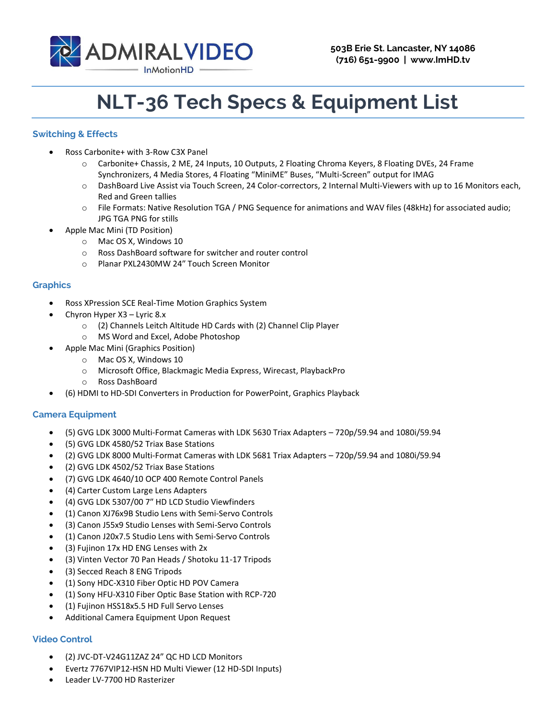

# **NLT-36 Tech Specs & Equipment List**

## **Switching & Effects**

- Ross Carbonite+ with 3-Row C3X Panel
	- o Carbonite+ Chassis, 2 ME, 24 Inputs, 10 Outputs, 2 Floating Chroma Keyers, 8 Floating DVEs, 24 Frame Synchronizers, 4 Media Stores, 4 Floating "MiniME" Buses, "Multi-Screen" output for IMAG
	- o DashBoard Live Assist via Touch Screen, 24 Color-correctors, 2 Internal Multi-Viewers with up to 16 Monitors each, Red and Green tallies
	- o File Formats: Native Resolution TGA / PNG Sequence for animations and WAV files (48kHz) for associated audio; JPG TGA PNG for stills
- Apple Mac Mini (TD Position)
	- o Mac OS X, Windows 10
	- o Ross DashBoard software for switcher and router control
	- o Planar PXL2430MW 24″ Touch Screen Monitor

#### **Graphics**

- Ross XPression SCE Real-Time Motion Graphics System
- Chyron Hyper X3 Lyric 8.x
	- o (2) Channels Leitch Altitude HD Cards with (2) Channel Clip Player
	- o MS Word and Excel, Adobe Photoshop
- Apple Mac Mini (Graphics Position)
	- o Mac OS X, Windows 10
	- o Microsoft Office, Blackmagic Media Express, Wirecast, PlaybackPro
	- o Ross DashBoard
- (6) HDMI to HD-SDI Converters in Production for PowerPoint, Graphics Playback

### **Camera Equipment**

- (5) GVG LDK 3000 Multi-Format Cameras with LDK 5630 Triax Adapters 720p/59.94 and 1080i/59.94
- (5) GVG LDK 4580/52 Triax Base Stations
- (2) GVG LDK 8000 Multi-Format Cameras with LDK 5681 Triax Adapters 720p/59.94 and 1080i/59.94
- (2) GVG LDK 4502/52 Triax Base Stations
- (7) GVG LDK 4640/10 OCP 400 Remote Control Panels
- (4) Carter Custom Large Lens Adapters
- (4) GVG LDK 5307/00 7″ HD LCD Studio Viewfinders
- (1) Canon XJ76x9B Studio Lens with Semi-Servo Controls
- (3) Canon J55x9 Studio Lenses with Semi-Servo Controls
- (1) Canon J20x7.5 Studio Lens with Semi-Servo Controls
- (3) Fujinon 17x HD ENG Lenses with 2x
- (3) Vinten Vector 70 Pan Heads / Shotoku 11-17 Tripods
- (3) Secced Reach 8 ENG Tripods
- (1) Sony HDC-X310 Fiber Optic HD POV Camera
- (1) Sony HFU-X310 Fiber Optic Base Station with RCP-720
- (1) Fujinon HSS18x5.5 HD Full Servo Lenses
- Additional Camera Equipment Upon Request

# **Video Control**

- (2) JVC-DT-V24G11ZAZ 24" QC HD LCD Monitors
- Evertz 7767VIP12-HSN HD Multi Viewer (12 HD-SDI Inputs)
- Leader LV-7700 HD Rasterizer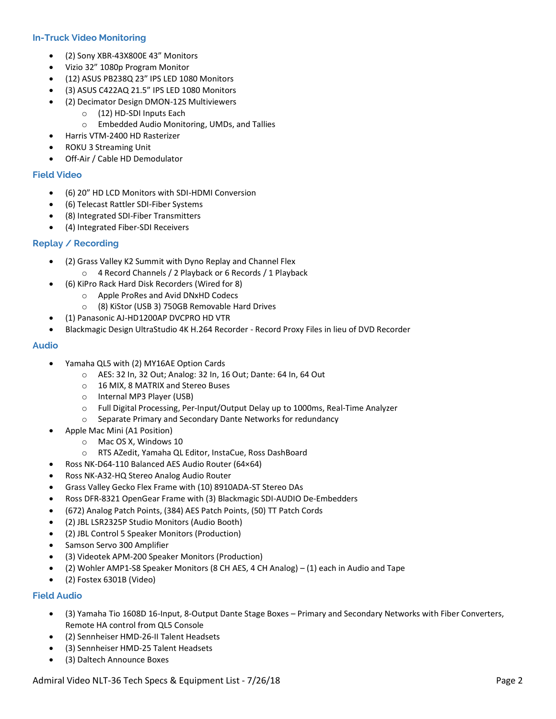### **In-Truck Video Monitoring**

- (2) Sony XBR-43X800E 43" Monitors
- Vizio 32" 1080p Program Monitor
- (12) ASUS PB238Q 23" IPS LED 1080 Monitors
- (3) ASUS C422AQ 21.5" IPS LED 1080 Monitors
- (2) Decimator Design DMON-12S Multiviewers
	- o (12) HD-SDI Inputs Each
	- o Embedded Audio Monitoring, UMDs, and Tallies
- Harris VTM-2400 HD Rasterizer
- ROKU 3 Streaming Unit
- Off-Air / Cable HD Demodulator

#### **Field Video**

- (6) 20" HD LCD Monitors with SDI-HDMI Conversion
- (6) Telecast Rattler SDI-Fiber Systems
- (8) Integrated SDI-Fiber Transmitters
- (4) Integrated Fiber-SDI Receivers

#### **Replay / Recording**

- (2) Grass Valley K2 Summit with Dyno Replay and Channel Flex
	- o 4 Record Channels / 2 Playback or 6 Records / 1 Playback
- (6) KiPro Rack Hard Disk Recorders (Wired for 8)
	- o Apple ProRes and Avid DNxHD Codecs
		- o (8) KiStor (USB 3) 750GB Removable Hard Drives
- (1) Panasonic AJ-HD1200AP DVCPRO HD VTR
- Blackmagic Design UltraStudio 4K H.264 Recorder Record Proxy Files in lieu of DVD Recorder

#### **Audio**

- Yamaha QL5 with (2) MY16AE Option Cards
	- o AES: 32 In, 32 Out; Analog: 32 In, 16 Out; Dante: 64 In, 64 Out
	- o 16 MIX, 8 MATRIX and Stereo Buses
	- o Internal MP3 Player (USB)
	- o Full Digital Processing, Per-Input/Output Delay up to 1000ms, Real-Time Analyzer
	- o Separate Primary and Secondary Dante Networks for redundancy
- Apple Mac Mini (A1 Position)
	- o Mac OS X, Windows 10
	- o RTS AZedit, Yamaha QL Editor, InstaCue, Ross DashBoard
- Ross NK-D64-110 Balanced AES Audio Router (64×64)
- Ross NK-A32-HQ Stereo Analog Audio Router
- Grass Valley Gecko Flex Frame with (10) 8910ADA-ST Stereo DAs
- Ross DFR-8321 OpenGear Frame with (3) Blackmagic SDI-AUDIO De-Embedders
- (672) Analog Patch Points, (384) AES Patch Points, (50) TT Patch Cords
- (2) JBL LSR2325P Studio Monitors (Audio Booth)
- (2) JBL Control 5 Speaker Monitors (Production)
- Samson Servo 300 Amplifier
- (3) Videotek APM-200 Speaker Monitors (Production)
- (2) Wohler AMP1-S8 Speaker Monitors (8 CH AES, 4 CH Analog) (1) each in Audio and Tape
- (2) Fostex 6301B (Video)

### **Field Audio**

- (3) Yamaha Tio 1608D 16-Input, 8-Output Dante Stage Boxes Primary and Secondary Networks with Fiber Converters, Remote HA control from QL5 Console
- (2) Sennheiser HMD-26-II Talent Headsets
- (3) Sennheiser HMD-25 Talent Headsets
- (3) Daltech Announce Boxes

Admiral Video NLT-36 Tech Specs & Equipment List - 7/26/18 **Page 2** Page 2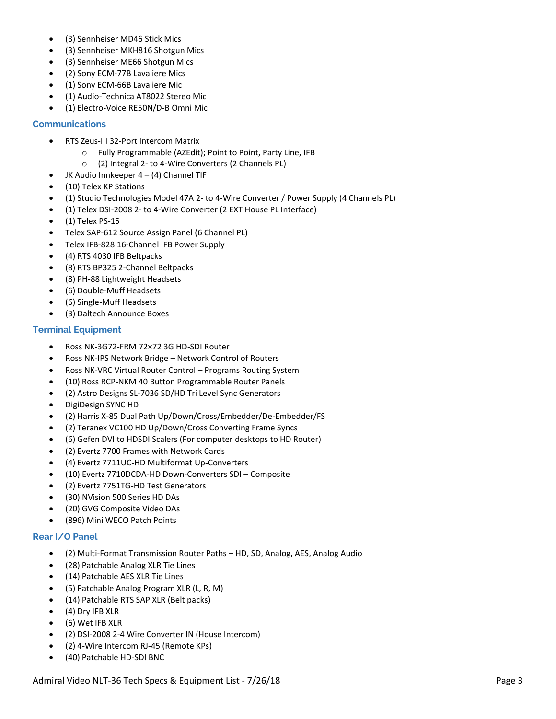- (3) Sennheiser MD46 Stick Mics
- (3) Sennheiser MKH816 Shotgun Mics
- (3) Sennheiser ME66 Shotgun Mics
- (2) Sony ECM-77B Lavaliere Mics
- (1) Sony ECM-66B Lavaliere Mic
- (1) Audio-Technica AT8022 Stereo Mic
- (1) Electro-Voice RE50N/D-B Omni Mic

#### **Communications**

- RTS Zeus-III 32-Port Intercom Matrix
	- o Fully Programmable (AZEdit); Point to Point, Party Line, IFB
	- o (2) Integral 2- to 4-Wire Converters (2 Channels PL)
- JK Audio Innkeeper 4 (4) Channel TIF
- (10) Telex KP Stations
- (1) Studio Technologies Model 47A 2- to 4-Wire Converter / Power Supply (4 Channels PL)
- (1) Telex DSI-2008 2- to 4-Wire Converter (2 EXT House PL Interface)
- (1) Telex PS-15
- Telex SAP-612 Source Assign Panel (6 Channel PL)
- Telex IFB-828 16-Channel IFB Power Supply
- (4) RTS 4030 IFB Beltpacks
- (8) RTS BP325 2-Channel Beltpacks
- (8) PH-88 Lightweight Headsets
- (6) Double-Muff Headsets
- (6) Single-Muff Headsets
- (3) Daltech Announce Boxes

#### **Terminal Equipment**

- Ross NK-3G72-FRM 72×72 3G HD-SDI Router
- Ross NK-IPS Network Bridge Network Control of Routers
- Ross NK-VRC Virtual Router Control Programs Routing System
- (10) Ross RCP-NKM 40 Button Programmable Router Panels
- (2) Astro Designs SL-7036 SD/HD Tri Level Sync Generators
- DigiDesign SYNC HD
- (2) Harris X-85 Dual Path Up/Down/Cross/Embedder/De-Embedder/FS
- (2) Teranex VC100 HD Up/Down/Cross Converting Frame Syncs
- (6) Gefen DVI to HDSDI Scalers (For computer desktops to HD Router)
- (2) Evertz 7700 Frames with Network Cards
- (4) Evertz 7711UC-HD Multiformat Up-Converters
- (10) Evertz 7710DCDA-HD Down-Converters SDI Composite
- (2) Evertz 7751TG-HD Test Generators
- (30) NVision 500 Series HD DAs
- (20) GVG Composite Video DAs
- (896) Mini WECO Patch Points

#### **Rear I/O Panel**

- (2) Multi-Format Transmission Router Paths HD, SD, Analog, AES, Analog Audio
- (28) Patchable Analog XLR Tie Lines
- (14) Patchable AES XLR Tie Lines
- (5) Patchable Analog Program XLR (L, R, M)
- (14) Patchable RTS SAP XLR (Belt packs)
- $\bullet$  (4) Dry IFB XLR
- (6) Wet IFB XLR
- (2) DSI-2008 2-4 Wire Converter IN (House Intercom)
- (2) 4-Wire Intercom RJ-45 (Remote KPs)
- (40) Patchable HD-SDI BNC